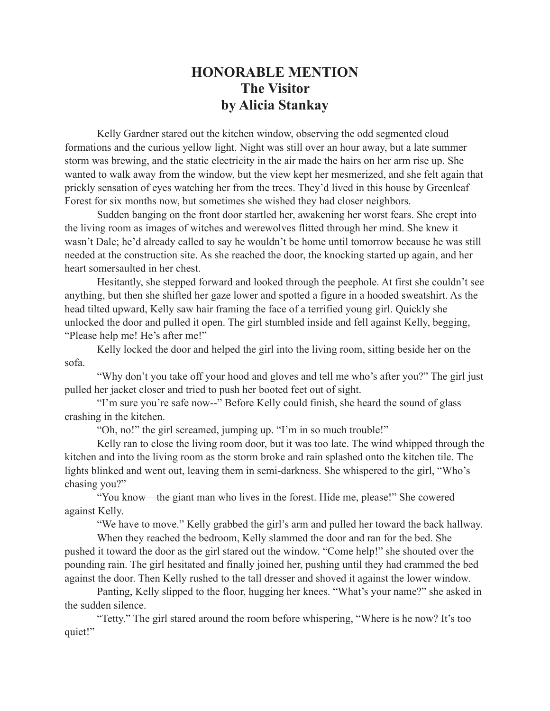## **HONORABLE MENTION The Visitor by Alicia Stankay**

Kelly Gardner stared out the kitchen window, observing the odd segmented cloud formations and the curious yellow light. Night was still over an hour away, but a late summer storm was brewing, and the static electricity in the air made the hairs on her arm rise up. She wanted to walk away from the window, but the view kept her mesmerized, and she felt again that prickly sensation of eyes watching her from the trees. They'd lived in this house by Greenleaf Forest for six months now, but sometimes she wished they had closer neighbors.

Sudden banging on the front door startled her, awakening her worst fears. She crept into the living room as images of witches and werewolves flitted through her mind. She knew it wasn't Dale; he'd already called to say he wouldn't be home until tomorrow because he was still needed at the construction site. As she reached the door, the knocking started up again, and her heart somersaulted in her chest.

Hesitantly, she stepped forward and looked through the peephole. At first she couldn't see anything, but then she shifted her gaze lower and spotted a figure in a hooded sweatshirt. As the head tilted upward, Kelly saw hair framing the face of a terrified young girl. Quickly she unlocked the door and pulled it open. The girl stumbled inside and fell against Kelly, begging, "Please help me! He's after me!"

Kelly locked the door and helped the girl into the living room, sitting beside her on the sofa.

"Why don't you take off your hood and gloves and tell me who's after you?" The girl just pulled her jacket closer and tried to push her booted feet out of sight.

"I'm sure you're safe now--" Before Kelly could finish, she heard the sound of glass crashing in the kitchen.

"Oh, no!" the girl screamed, jumping up. "I'm in so much trouble!"

Kelly ran to close the living room door, but it was too late. The wind whipped through the kitchen and into the living room as the storm broke and rain splashed onto the kitchen tile. The lights blinked and went out, leaving them in semi-darkness. She whispered to the girl, "Who's chasing you?"

"You know—the giant man who lives in the forest. Hide me, please!" She cowered against Kelly.

"We have to move." Kelly grabbed the girl's arm and pulled her toward the back hallway.

When they reached the bedroom, Kelly slammed the door and ran for the bed. She pushed it toward the door as the girl stared out the window. "Come help!" she shouted over the pounding rain. The girl hesitated and finally joined her, pushing until they had crammed the bed against the door. Then Kelly rushed to the tall dresser and shoved it against the lower window.

Panting, Kelly slipped to the floor, hugging her knees. "What's your name?" she asked in the sudden silence.

"Tetty." The girl stared around the room before whispering, "Where is he now? It's too quiet!"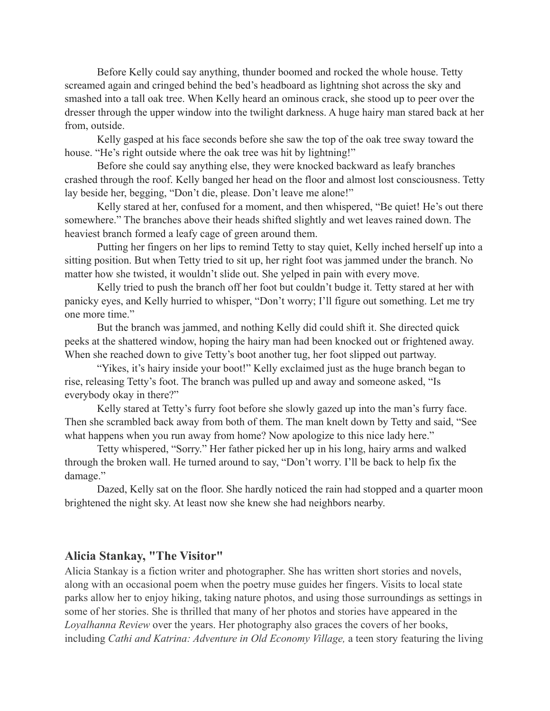Before Kelly could say anything, thunder boomed and rocked the whole house. Tetty screamed again and cringed behind the bed's headboard as lightning shot across the sky and smashed into a tall oak tree. When Kelly heard an ominous crack, she stood up to peer over the dresser through the upper window into the twilight darkness. A huge hairy man stared back at her from, outside.

Kelly gasped at his face seconds before she saw the top of the oak tree sway toward the house. "He's right outside where the oak tree was hit by lightning!"

Before she could say anything else, they were knocked backward as leafy branches crashed through the roof. Kelly banged her head on the floor and almost lost consciousness. Tetty lay beside her, begging, "Don't die, please. Don't leave me alone!"

Kelly stared at her, confused for a moment, and then whispered, "Be quiet! He's out there somewhere." The branches above their heads shifted slightly and wet leaves rained down. The heaviest branch formed a leafy cage of green around them.

Putting her fingers on her lips to remind Tetty to stay quiet, Kelly inched herself up into a sitting position. But when Tetty tried to sit up, her right foot was jammed under the branch. No matter how she twisted, it wouldn't slide out. She yelped in pain with every move.

Kelly tried to push the branch off her foot but couldn't budge it. Tetty stared at her with panicky eyes, and Kelly hurried to whisper, "Don't worry; I'll figure out something. Let me try one more time."

But the branch was jammed, and nothing Kelly did could shift it. She directed quick peeks at the shattered window, hoping the hairy man had been knocked out or frightened away. When she reached down to give Tetty's boot another tug, her foot slipped out partway.

"Yikes, it's hairy inside your boot!" Kelly exclaimed just as the huge branch began to rise, releasing Tetty's foot. The branch was pulled up and away and someone asked, "Is everybody okay in there?"

Kelly stared at Tetty's furry foot before she slowly gazed up into the man's furry face. Then she scrambled back away from both of them. The man knelt down by Tetty and said, "See what happens when you run away from home? Now apologize to this nice lady here."

Tetty whispered, "Sorry." Her father picked her up in his long, hairy arms and walked through the broken wall. He turned around to say, "Don't worry. I'll be back to help fix the damage."

Dazed, Kelly sat on the floor. She hardly noticed the rain had stopped and a quarter moon brightened the night sky. At least now she knew she had neighbors nearby.

## **Alicia Stankay, "The Visitor"**

Alicia Stankay is a fiction writer and photographer. She has written short stories and novels, along with an occasional poem when the poetry muse guides her fingers. Visits to local state parks allow her to enjoy hiking, taking nature photos, and using those surroundings as settings in some of her stories. She is thrilled that many of her photos and stories have appeared in the *Loyalhanna Review* over the years. Her photography also graces the covers of her books, including *Cathi and Katrina: Adventure in Old Economy Village,* a teen story featuring the living